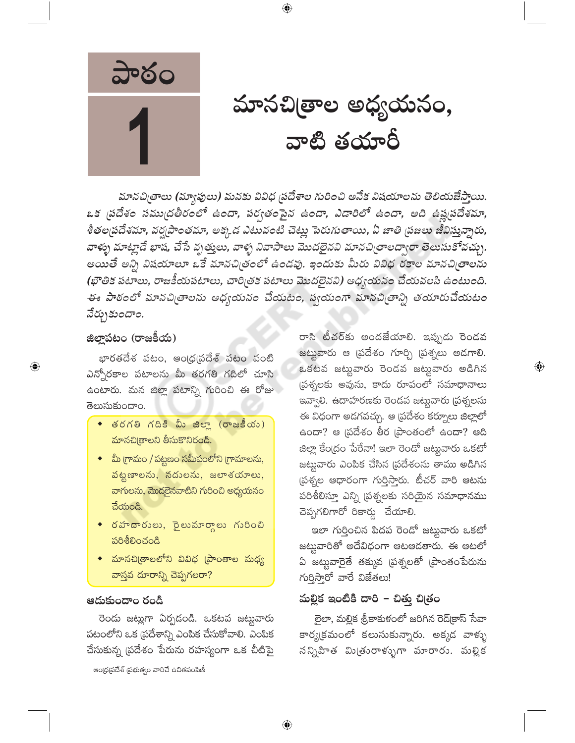

మానచిౖతాల అధ్యయనం, వాటి తయారీ

మానచిత్రాలు (మ్యాఫులు) మనకు వివిధ ప్రదేశాల గురించి అనేక విషయాలను తెలియజేస్తాయి. ఒక ప్రదేశం సముద్రతీరంలో ఉందా, పర్వతంపైన ఉందా, ఎడారిలో ఉందా, అది ఉష్ణపదేశమా, శీతల(పదేశమా, వర్ష(పాంతమా, అక్కడ ఎటువంటి చెట్లు పెరుగుతాయి, ఏ జాతి (పజలు జీవిస్తున్నారు, వాళ్ళు మాట్లాడే భాష, చేసే వృత్తులు, వాళ్ళ నివాసాలు మొదలైనవి మానచిత్రాలద్వారా తెలుసుకోవచ్చు. అయితే అన్ని విషయాలూ ఒకే మానచిత్రంలో ఉండవు. ఇందుకు మీరు వివిధ రకాల మానచిత్రాలను (భౌతిక పటాలు, రాజకీయపటాలు, చారిత్రక పటాలు మొదలైనవి) అధ్యయనం చేయవలసి ఉంటుంది. ఈ పాఠంలో మానచిత్రాలను అధ్యయనం చేయటం, స్వయంగా మానచిత్రాన్ని తయారుచేయటం నేర్చుకుందాం.

 $\bigoplus$ 

#### జిల్లాపటం (రాజకీయ)

భారతదేశ పటం, ఆంధ్రప్రదేశ్ పటం వంటి ఎన్నోరకాల పటాలను మీ తరగతి గదిలో చూసి ఉంటారు. మన జిల్లా పటాన్ని గురించి ఈ రోజు తెలుసుకుందాం.

- తరగతి గదికి మీ జిల్లా (రాజకీయం) మానచిత్రాలని తీసుకొనిరండి.
- ◆ మీ గ్రామం / పట్టణం సమీపంలోని గ్రామాలను, పట్టణాలను, నదులను, జలాశయాలు, వాగులను, మొదలైనవాటిని గురించి అధ్యయనం చేయండి.
- $\bullet$  రహదారులు, రైలుమార్గాలు గురించి  $\delta$
- మానచి[తాలలోని వివిధ [పాంతాల మధ్య వాస్తవ దూరాన్ని చెప్పగలరా?

#### ఆదుకుందాం రండి

రెండు జట్లుగా ఏర్పడండి. ఒకటవ జట్లువారు పటంలోని ఒక (పదేశాన్ని ఎంపిక చేసుకోవాలి. ఎంపిక చేసుకున్న (పదేశం పేరును రహస్యంగా ఒక చీటిపై

ఆంధ్రప్రదేశ్ (పభుత్వం వారిచే ఉచితపంపిణీ

రాసి టీచర్కు అందజేయాలి. ఇప్పుడు రెండవ జట్టువారు ఆ ప్రదేశం గూర్చి ప్రశ్నలు అడగాలి. ఒకటవ జట్టవారు రెండవ జట్టవారు అడిగిన ప్రశ్నలకు అవును, కాదు రూపంలో సమాధానాలు ఇవ్వాలి. ఉదాహరణకు రెండవ జట్టువారు (పశ్నలను ఈ విధంగా అడగవచ్చు. ఆ ప్రదేశం కర్నూలు జిల్లాలో ఉందా? ఆ (పదేశం తీర (పాంతంలో ఉందా? ఆది జిల్లా కేంద్రం పేరేనా! ఇలా రెండో జట్టవారు ఒకటో జట్టువారు ఎంపిక చేసిన (పదేశంను తాము అడిగిన స్రశ్నల ఆధారంగా గుర్తిస్తారు. టీచర్ వారి ఆటను పరిశీలిస్తూ ఎన్ని (పశ్నలకు సరియైన సమాధానము చెప్పగలిగారో రికార్డు చేయాలి.

 $\bigoplus$ 

ఇలా గుర్తించిన పిదప రెండో జట్టవారు ఒకటో జట్టువారితో అదేవిధంగా ఆటఆడతారు. ఈ ఆటలో ఏ జట్టవారైతే తక్కువ (పశ్నలతో (పాంతంపేరును  $\kappa$ රිදා කුර කුස් හා

## మల్లిక ఇంటికి దారి - చిత్తు చిత్రం

లైలా, మల్లిక శ్రీకాకుళంలో జరిగిన రెడ్(కాస్ సేవా కార్య(క్రమంలో కలుసుకున్నారు. అక్కడ వాళ్ళు సన్నిహిత మి(తురాళ్ళుగా మారారు. మల్లిక

⊕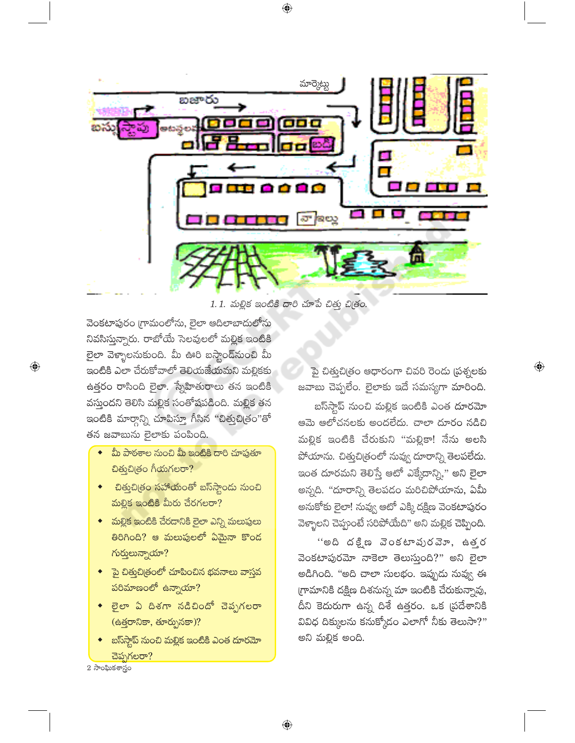

1.1. మల్లిక ఇంటికి దారి చూపే చిత్తు చిత్రం.

వెంకటాపురం గ్రామంలోను, లైలా ఆదిలాబాదులోను నివసిస్తున్నారు. రాబోయే సెలవులలో మల్లిక ఇంటికి లైలా వెళ్ళాలనుకుంది. మీ ఊరి బస్తాండ్*నుంచి* మీ ఇంటికి ఎలా చేరుకోవాలో తెలియజేయమని మల్లికకు ఉత్తరం రాసింది లైలా. స్నేహితురాలు తన ఇంటికి వస్తుందని తెలిసి మల్లిక సంతోషపడింది. మల్లిక తన ఇంటికి మార్గాన్ని చూపిస్తూ గీసిన "చిత్తుచిత్రం"తో తన జవాబును లైలాకు పంపింది.

- మీ పాఠశాల నుంచి మీ ఇంటికి దారి చూపుతూ చిత్మచిత్రం గీయగలరా?
- చిత్తుచిత్రం సహాయంతో బస్స్టాండు నుంచి మల్లిక ఇంటికి మీరు చేరగలరా?
- $\bullet$  మల్లిక ఇంటికి చేరదానికి లైలా ఎన్ని మలుపులు తిరిగింది? ఆ మలుపులలో ఏమైనా కొంద గుర్తులున్నాయా?
- <mark>ైపై చిత్తుచిత్రంలో చూపించిన భవనాలు వాస్తవ</mark> .<br>పరిమాణంలో ఉన్నాయా?
- లైలా ఏ దిశగా నడిచిందో చెప్పగలరా (ఉత్తరానికా, తూర్పునకా)?
- బస్స్టాప్ నుంచి మల్లిక ఇంటికి ఎంత దూరమో చెప్పగలరా?

పై చిత్తుచిత్రం ఆధారంగా చివరి రెండు (పశ్నలకు జవాబు చెప్పలేం. లైలాకు ఇదే సమస్యగా మారింది.

బస్ఏస్టాప్ నుంచి మల్లిక ఇంటికి ఎంత దూరమో ఆమె ఆలోచనలకు అందలేదు. చాలా దూరం నడిచి మల్లిక ఇంటికి చేరుకుని "మల్లికా! నేను అలసి పోయాను. చిత్తుచిత్రంలో నువ్వు దూరాన్ని తెలపలేదు. ఇంత దూరమని తెలిస్తే ఆటో ఎక్కేదాన్ని," అని లైలా అన్నది. "దూరాన్ని తెలపడం మరిచిపోయాను, ఏమీ అనుకోకు లైలా! సువ్వు ఆటో ఎక్కి దక్షిణ వెంకటాపురం వెళ్ళాలని చెప్పంటే సరిపోయేది" అని మల్లిక చెప్పింది.

''అది దక్షిణ వెంకటావురవెూ, ఉత్తర వెంకటాపురమోా నాకెలా తెలుస్తుంది?" అని లైలా అడిగింది. "అది చాలా సులభం. ఇప్పుడు నువ్వు ఈ గ్రామానికి దక్షిణ దిశనున్న మా ఇంటికి చేరుకున్నావు, దీని కెదురుగా ఉన్న దిశే ఉత్తరం. ఒక ప్రదేశానికి వివిధ దిక్కులను కనుక్కోదం ఎలాగో నీకు తెలుసా?" అని మల్లిక అంది.

 $2\frac{1}{2}\cos\theta$ ుకశాస్త్రం

 $\bigoplus$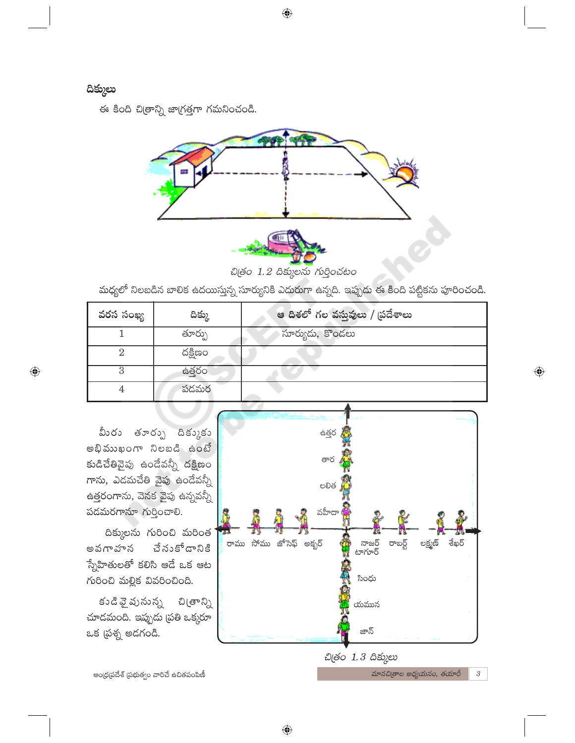## దిక్కులు

 $\bigoplus$ 

ఈ కింది చిత్రాన్ని జాగ్రత్తగా గమనించండి.



చిత్రం 1.2 దిక్కులను గుర్తించటం

మధ్యలో నిలబడిన బాలిక ఉదయిస్తున్న సూర్యునికి ఎదురుగా ఉన్నది. ఇప్పుడు ఈ కింది పట్టికను పూరించండి.

| వరస సంఖ్య | దిక్కు  | ఆ దిశలో గల వస్తువులు / ప్రదేశాలు |
|-----------|---------|----------------------------------|
|           | తూర్పు  | సూర్యుడు, కొండలు                 |
|           | దక్షిణం |                                  |
|           | ఉత్తరం  |                                  |
| 4         | పడమర    |                                  |

 $\bigoplus$ 

మీరు తూర్పు దిక్కుకు అభిముఖంగా నిలబడి ఉంటే కుడిచేతివైపు ఉండేవన్నీ దక్షిణం గాను, ఎడమచేతి వైపు ఉండేవన్నీ ఉత్తరంగాను, వెనక వైపు ఉన్నవన్నీ పడమరగానూ గుర్తించాలి.

దిక్కులను గురించి మరింత చే నుకోడానికి అవగాహన స్నేహితులతో కలిసి ఆడే ఒక ఆట గురించి మల్లిక వివరించింది.

కుడి వై పునున్న చి(తాన్ని చూడమంది. ఇప్పుడు (పతి ఒక్కరూ ఒక (పశ్న అడగండి.



మానచిత్రాల అధ్యయనం, తయారీ

 $\sqrt{3}$ 

ఆంధ్రప్రదేశ్ ప్రభుత్వం వారిచే ఉచితపంపిణీ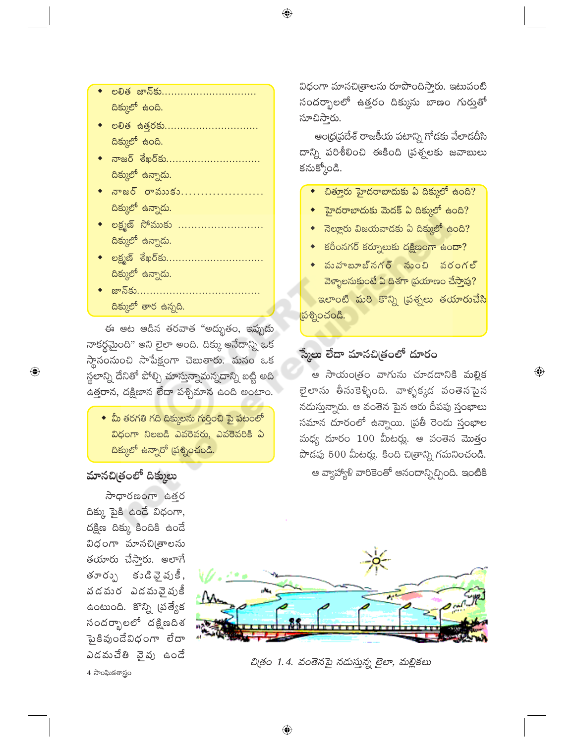- లలిత జాన్కు.............................. దిక్కులో ఉంది.
- eවිඡ සමර්හි............................... దిక్కులో ఉంది.
- ◆ నాజర్ శేఖర్కు................................ దిక్కులో ఉన్నాడు.
- ◆ నాజర్ రాముకు...................... దిక్కులో ఉన్నాడు.
- <u>లక్ష్మణ్ సోముకు ...........................</u> దిక్కులో ఉన్నాడు.
- లక్ష్మణ్ శేఖర్**కు............................**.. దిక్కులో ఉన్నాడు.
- <u>◆ జాన్కు………………………………</u> దిక్కులో తార ఉన్నది.

ఈ ఆట ఆడిన తరవాత "అద్భుతం, ఇప్పుడు నాకర్థమైంది" అని లైలా అంది. దిక్కు అనేదాన్ని ఒక స్థానంసుంచి సాపేక్షంగా చెబుతారు. మనం ఒక స్థలాన్ని దేనితో పోల్చి చూస్తున్నామన్నదాన్ని బట్టి అది ఉత్తరాన, దక్షిణాన లేదా పశ్చిమాన ఉంది అంటాం.

 $\bullet$  మీ తరగతి గది దిక్కులను గుర్తించి పై పటంలో విధంగా నిలబడి ఎవరెవరు, ఎవరెవరికి ఏ <mark>దిక్కులో ఉన్నారో (పశ్నించం</mark>డి.

## మానచిత్రంలో దిక్కులు

 $\bigoplus$ 

సాధారణంగా ఉత్తర  $\delta$ క్కు పైకి ఉండే విధంగా, దక్షిణ దిక్కు కిందికి ఉందే విధంగా మానచి<sub>(</sub>తాలను తయారు చేస్తారు. అలాగే తూర్పు కుడివైపుకీ, వడమర ఎడమవైపుకీ ఉంటుంది. కొన్ని (పత్యేక సందర్భాలలో దక్షిణదిశ పైకివుండేవిధంగా లేదా ఎడమచేతి వైపు ఉండే  $4\overline{\phantom{1}}$ సాంఘికశాస్త్రం

విధంగా మానచిత్రాలను రూపొందిస్తారు. ఇటువంటి సందర్భాలలో ఉత్తరం దిక్కును బాణం గుర్తుతో సూచిస్తారు.

⊕

ఆంధ్రప్రదేశ్ రాజకీయ పటాన్ని గోడకు వేలాడదీసి దాన్ని పరిశీలించి ఈకింది (పశ్నలకు జవాబులు కనుక్కోండి.

- చిత్తూరు హైదరాబాదుకు ఏ దిక్కులో ఉంది?
- ె హైదరాబాదుకు మెదక్ ఏ దిక్కులో ఉంది<mark>?</mark>
- $\bullet$  నెల్లూరు విజయవాదకు ఏ దిక్కులో ఉంది?
- కరీంనగర్ కర్నూలుకు దక్షిణంగా ఉందా?
- మహబూబ్నగర్ నుంచి వరంగల్ వెళ్ళాలనుకుంటే ఏ దిశగా స్రయాణం చేస్తావు? <mark>ఇలాంటి మరి కొన్ని (పశ్నలు తయారుచేసి</mark> တိုဘွဲ့ဝသ်ဝင်မီ.

## స్మేలు లేదా మానచిౖతంలో దూరం

ఆ సాయంత్రం వాగును చూడడానికి మల్లిక లైలాను తీసుకెళ్ళింది. వాళ్ళక్కడ వంతెనపైన నదుస్తున్నారు. ఆ వంతెన పైన ఆరు దీపపు స్తంభాలు సమాన దూరంలో ఉన్నాయి. (పతీ రెండు స్తంభాల మధ్య దూరం  $100$  మీటర్లు. ఆ వంతెన మొత్తం పొడవు 500 మీటర్లు. కింది చిత్రాన్ని గమనించండి. ఆ వ్యాహ్యాళి వారికెంతో ఆనందాన్నిచ్చింది. ఇంటికి



చిత్రం 1.4. వంతెనపై నడుస్తున్న లైలా, మల్లికలు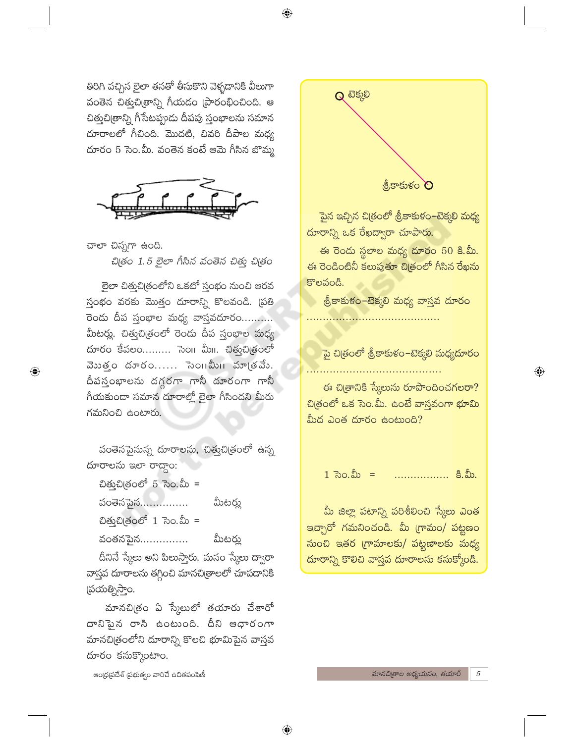⊕

తిరిగి వచ్చిన లైలా తనతో తీసుకొని వెళ్ళడానికి వీలుగా వంతెన చిత్తుచి(తాన్ని గీయడం (పారంభించింది. ఆ చిత్తుచి[తాన్ని గీసేటప్పుడు దీపపు స్తంభాలను సమాన దూరాలలో గీచింది. మొదటి, చివరి దీపాల మధ్య దూరం 5 సెం.మీ. వంతెన కంటే ఆమె గీసిన బొమ్మ



చాలా చిన్నగా ఉంది. చిత్రం 1.5 లైలా గీసిన వంతెన చిత్తు చిత్రం

లైలా చిత్తుచిత్రంలోని ఒకటో స్తంభం నుంచి ఆరవ స్తంభం వరకు మొత్తం దూరాన్ని కొలవండి. (పతి రెండు దీప స్తంభాల మధ్య వాస్తవదూరం.......... మీటర్లు. చిత్తుచిత్రంలో రెండు దీప స్తంభాల మధ్య దూరం కేవలం......... సెం။ మీ။. చిత్తుచిత్రంలో వెబత్తం దూరం...... సెంగిమీగి మాత్రవేం. దీపస్తంభాలను దగ్గరగా గానీ దూరంగా గానీ గీయకుండా సమాన దూరాల్లో లైలా గీసిందని మీరు గమనించి ఉంటారు.

 $\bigoplus$ 

వంతెనపైనున్న దూరాలను, చిత్తుచిత్రంలో ఉన్న దూరాలను ఇలా రాద్దాం:

చిత్తుచిత్రంలో 5 సెం.మీ = మీటర్లు వంతెనపైన............... ป๊ต์ อยู่อิเตออร์ 1 ลิง. อิ้ง = వంతనపైన $\dots\dots\dots\dots$ మీటర్లు

దీనినే స్మేలు అని పిలుస్తారు. మనం స్మేలు ద్వారా వాస్తవ దూరాలను తగ్గించి మానచిత్రాలలో చూపదానికి స్రయత్నిస్తాం.

మానచిత్రం ఏ స్కేలులో తయారు చేశారో దానిపైన రాసి ఉంటుంది. దీని ఆధారంగా మానచిత్రంలోని దూరాన్ని కొలచి భూమిపైన వాస్తవ దూరం కనుక్కొంటాం.

ఆంధ్ర(పదేశ్ (పభుత్వం వారిచే ఉచితపంపిణీ



పైన ఇచ్చిన చిత్రంలో శ్రీకాకుళం–టెక్కలి మధ్య దూరాన్ని ఒక రేఖద్వారా చూపారు.

ఈ రెండు స్థలాల మధ్య దూరం 50 కి.మీ. ఈ రెండింటినీ కలుపుతూ చిత్రంలో గీసిన రేఖను కొలవండి.

శ్రీకాకుళం−టెక్కలి మధ్య వాస్తవ దూరం

పై చిత్రంలో శ్రీకాకుళం–టెక్కలి మధ్యదూరం

 $\bigoplus$ 

ఈ చిత్రానికి స్కేలును రూపొందించగలరా? చిత్రంలో ఒక సెం.మీ. ఉంటే వాస్తవంగా భూమి మీద ఎంత దూరం ఉంటుంది?

 $1 \, 70.$ మీ = ..................... కి.మీ.

మీ జిల్లా పటాన్ని పరిశీలించి స్కేలు ఎంత ఇచ్చారో గమనించండి. మీ (గామం/ పట్టణం నుంచి ఇతర గ్రామాలకు/ పట్టణాలకు మధ్య దూరాన్ని కొలిచి వాస్తవ దూరాలను కనుక్కోండి.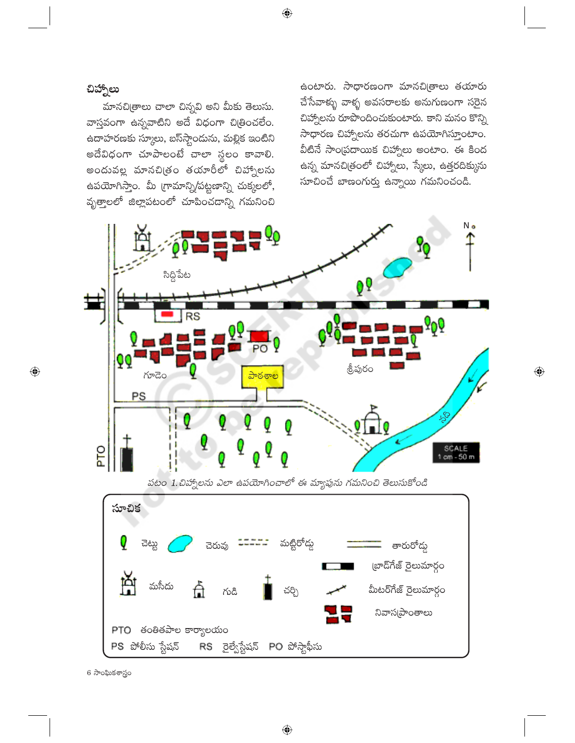## చిహ్నాలు

 $\bigoplus$ 

మానచి(తాలు చాలా చిన్నవి అని మీకు తెలుసు. వాస్తవంగా ఉన్నవాటిని అదే విధంగా చిత్రించలేం. ఉదాహరణకు స్కూలు, బస్స్టాందును, మల్లిక ఇంటిని అదేవిధంగా చూపాలంటే చాలా స్థలం కావాలి. అందువల్ల మానచిత్రం తయారీలో చిహ్నాలను ఉపయోగిస్తాం. మీ గ్రామాన్ని/పట్టణాన్ని చుక్కలలో, వృత్తాలలో జిల్లాపటంలో చూపించడాన్ని గమనించి ఉంటారు. సాధారణంగా మానచి(తాలు తయారు చేసేవాళ్ళు వాళ్ళ అవసరాలకు అనుగుణంగా సరైన చిహ్నాలను రూపొందించుకుంటారు. కాని మనం కొన్ని సాధారణ చిహ్నాలను తరచుగా ఉపయోగిస్తూంటాం. వీటినే సాం(పదాయిక చిహ్నాలు అంటాం. ఈ కింద ఉన్న మానచిత్రంలో చిహ్నాలు, స్కేలు, ఉత్తరదిక్కును సూచించే బాణంగుర్తు ఉన్నాయి గమనించండి.



6 సాంఘికశాస్త్రం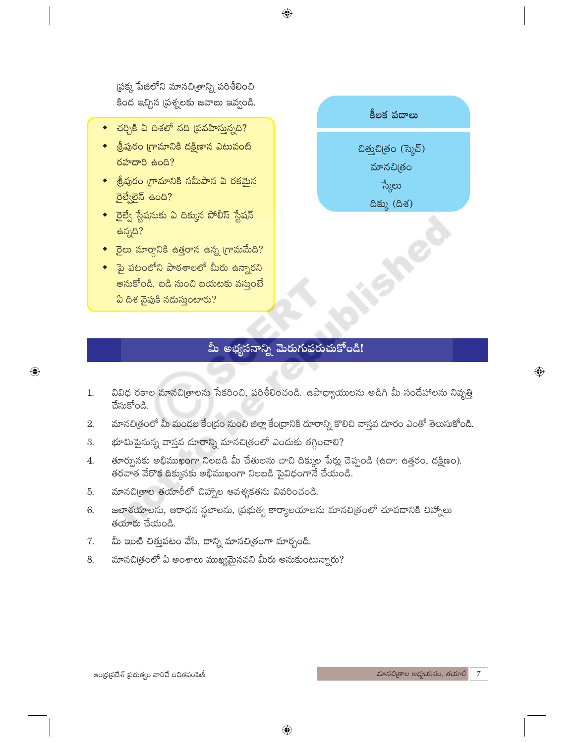(పక్క పేజిలోని మానచి(తాన్ని పరిశీలించి కింద ఇచ్చిన (పశ్నలకు జవాబు ఇవ్వండి.

- $\bullet$  చర్చికి ఏ దిశలో నది (పవహిస్తున్నది?
- ◆ శ్రీపురం గ్రామానికి దక్షిణాన ఎటువంటి రహదారి ఉంది?
- ◆ శ్రీపురం గ్రామానికి సమీపాన ఏ రకమైన రైల్వేలైన్ ఉంది?
- $\bullet$  రైల్వే స్టేషనుకు ఏ దిక్కున పోలీస్ స్టేషన్ ఉన్నది?
- $\bullet$  రైలు మార్గానికి ఉత్తరాన ఉన్న (గామమేది?
- $\bullet$  పై పటంలోని పాఠశాలలో మీరు ఉన్నారని అనుకోండి. బడి నుంచి బయటకు వస్తుంటే ఏ దిశ వైపుకి నడుస్తుంటారు?

 $\bigoplus$ 



# మీ అభ్యసనాన్ని మెరుగుపరుచుకోండి!

- వివిధ రకాల మానచి(తాలను సేకరించి, పరిశీలించండి. ఉపాధ్యాయులను అడిగి మీ సందేహాలను నివృత్తి 1. చేసుకోండి.
- మానచిత్రంలో మీ మండల కేంద్రం నుంచి జిల్లా కేంద్రానికి దూరాన్ని కొలిచి వాస్తవ దూరం ఎంతో తెలుసుకోండి.  $\overline{2}$ .
- భూమిపైనున్న వాస్తవ దూరాన్ని మానచిత్రంలో ఎందుకు తగ్గించాలి? 3.
- తూర్పునకు అభిముఖంగా నిలబడి మీ చేతులను చాచి దిక్కుల పేర్లు చెప్పండి (ఉదా: ఉత్తరం, దక్షిణం). 4. తరవాత వేరొక దిక్కునకు అభిముఖంగా నిలబడి పైవిధంగానే చేయండి.
- మానచి[తాల తయారీలో చిహ్నాల ఆవశ్యకతను వివరించండి. 5.
- జలాశయాలను, ఆరాధన స్థలాలను, ప్రభుత్వ కార్యాలయాలను మానచిత్రంలో చూపడానికి చిహ్నాలు 6. తయారు చేయండి.
- మీ ఇంటి చిత్తుపటం వేసి, దాన్ని మానచి(తంగా మార్చండి. 7.
- మానచిత్రంలో ఏ అంశాలు ముఖ్యమైనవని మీరు అనుకుంటున్నారు? 8.

 $\overline{\mathbb{Q}}$